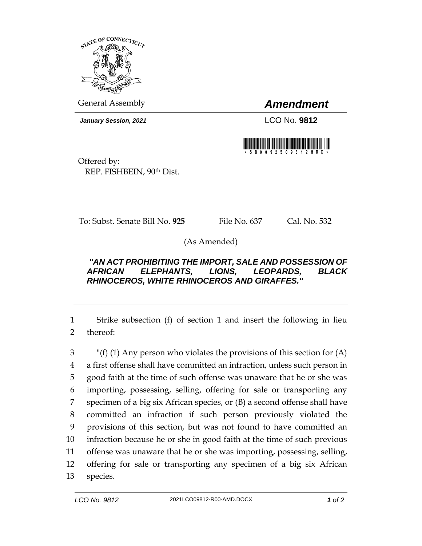

General Assembly *Amendment*

*January Session, 2021* LCO No. **9812**



Offered by: REP. FISHBEIN, 90th Dist.

To: Subst. Senate Bill No. **925** File No. 637 Cal. No. 532

(As Amended)

## *"AN ACT PROHIBITING THE IMPORT, SALE AND POSSESSION OF AFRICAN ELEPHANTS, LIONS, LEOPARDS, BLACK RHINOCEROS, WHITE RHINOCEROS AND GIRAFFES."*

1 Strike subsection (f) of section 1 and insert the following in lieu 2 thereof:

 "(f) (1) Any person who violates the provisions of this section for (A) a first offense shall have committed an infraction, unless such person in good faith at the time of such offense was unaware that he or she was importing, possessing, selling, offering for sale or transporting any specimen of a big six African species, or (B) a second offense shall have committed an infraction if such person previously violated the provisions of this section, but was not found to have committed an infraction because he or she in good faith at the time of such previous offense was unaware that he or she was importing, possessing, selling, offering for sale or transporting any specimen of a big six African 13 species.